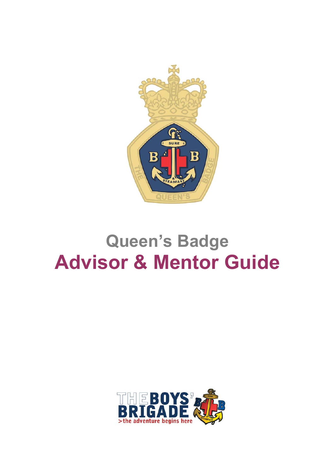

# **Queen's Badge Advisor & Mentor Guide**

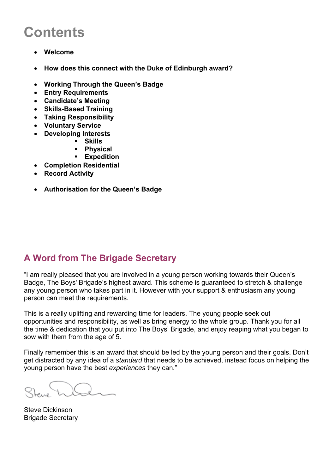## **Contents**

- **Welcome**
- **How does this connect with the Duke of Edinburgh award?**
- **Working Through the Queen's Badge**
- **Entry Requirements**
- **Candidate's Meeting**
- **Skills-Based Training**
- **Taking Responsibility**
- **Voluntary Service**
- **Developing Interests** 
	- **Skills**
	- **Physical**
	- **Expedition**
- **Completion Residential**
- **Record Activity**
- **Authorisation for the Queen's Badge**

## **A Word from The Brigade Secretary**

"I am really pleased that you are involved in a young person working towards their Queen's Badge, The Boys' Brigade's highest award. This scheme is guaranteed to stretch & challenge any young person who takes part in it. However with your support & enthusiasm any young person can meet the requirements.

This is a really uplifting and rewarding time for leaders. The young people seek out opportunities and responsibility, as well as bring energy to the whole group. Thank you for all the time & dedication that you put into The Boys' Brigade, and enjoy reaping what you began to sow with them from the age of 5.

Finally remember this is an award that should be led by the young person and their goals. Don't get distracted by any idea of a *standard* that needs to be achieved, instead focus on helping the young person have the best *experiences* they can."

Steve Dickinson Brigade Secretary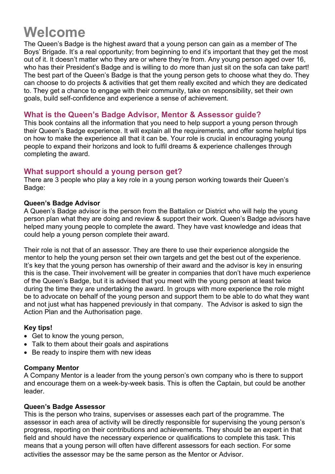## **Welcome**

The Queen's Badge is the highest award that a young person can gain as a member of The Boys' Brigade. It's a real opportunity; from beginning to end it's important that they get the most out of it. It doesn't matter who they are or where they're from. Any young person aged over 16, who has their President's Badge and is willing to do more than just sit on the sofa can take part! The best part of the Queen's Badge is that the young person gets to choose what they do. They can choose to do projects & activities that get them really excited and which they are dedicated to. They get a chance to engage with their community, take on responsibility, set their own goals, build self-confidence and experience a sense of achievement.

#### **What is the Queen's Badge Advisor, Mentor & Assessor guide?**

This book contains all the information that you need to help support a young person through their Queen's Badge experience. It will explain all the requirements, and offer some helpful tips on how to make the experience all that it can be. Your role is crucial in encouraging young people to expand their horizons and look to fulfil dreams & experience challenges through completing the award.

#### **What support should a young person get?**

There are 3 people who play a key role in a young person working towards their Queen's Badge:

#### **Queen's Badge Advisor**

A Queen's Badge advisor is the person from the Battalion or District who will help the young person plan what they are doing and review & support their work. Queen's Badge advisors have helped many young people to complete the award. They have vast knowledge and ideas that could help a young person complete their award.

Their role is not that of an assessor. They are there to use their experience alongside the mentor to help the young person set their own targets and get the best out of the experience. It's key that the young person has ownership of their award and the advisor is key in ensuring this is the case. Their involvement will be greater in companies that don't have much experience of the Queen's Badge, but it is advised that you meet with the young person at least twice during the time they are undertaking the award. In groups with more experience the role might be to advocate on behalf of the young person and support them to be able to do what they want and not just what has happened previously in that company. The Advisor is asked to sign the Action Plan and the Authorisation page.

#### **Key tips!**

- Get to know the young person,
- Talk to them about their goals and aspirations
- Be ready to inspire them with new ideas

#### **Company Mentor**

A Company Mentor is a leader from the young person's own company who is there to support and encourage them on a week-by-week basis. This is often the Captain, but could be another leader.

#### **Queen's Badge Assessor**

This is the person who trains, supervises or assesses each part of the programme. The assessor in each area of activity will be directly responsible for supervising the young person's progress, reporting on their contributions and achievements. They should be an expert in that field and should have the necessary experience or qualifications to complete this task. This means that a young person will often have different assessors for each section. For some activities the assessor may be the same person as the Mentor or Advisor.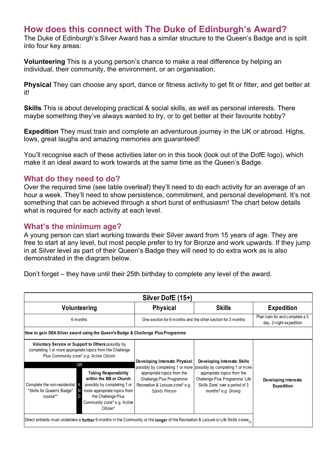## **How does this connect with The Duke of Edinburgh's Award?**

The Duke of Edinburgh's Silver Award has a similar structure to the Queen's Badge and is split into four key areas:

**Volunteering** This is a young person's chance to make a real difference by helping an individual, their community, the environment, or an organisation.

**Physical** They can choose any sport, dance or fitness activity to get fit or fitter, and get better at it!

**Skills** This is about developing practical & social skills, as well as personal interests. There maybe something they've always wanted to try, or to get better at their favourite hobby?

**Expedition** They must train and complete an adventurous journey in the UK or abroad. Highs, lows, great laughs and amazing memories are guaranteed!

You'll recognise each of these activities later on in this book (look out of the DofE logo), which make it an ideal award to work towards at the same time as the Queen's Badge.

#### **What do they need to do?**

Over the required time (see table overleaf) they'll need to do each activity for an average of an hour a week. They'll need to show persistence, commitment, and personal development. It's not something that can be achieved through a short burst of enthusiasm! The chart below details what is required for each activity at each level.

#### **What's the minimum age?**

A young person can start working towards their Silver award from 15 years of age. They are free to start at any level, but most people prefer to try for Bronze and work upwards. If they jump in at Silver level as part of their Queen's Badge they will need to do extra work as is also demonstrated in the diagram below.

Don't forget – they have until their 25th birthday to complete any level of the award.

| <b>Physical</b>                                                                                                                                                              | <b>Skills</b>                                                                                                                                            | <b>Expedition</b>                                                                                                                                                                                                                                                      |
|------------------------------------------------------------------------------------------------------------------------------------------------------------------------------|----------------------------------------------------------------------------------------------------------------------------------------------------------|------------------------------------------------------------------------------------------------------------------------------------------------------------------------------------------------------------------------------------------------------------------------|
|                                                                                                                                                                              |                                                                                                                                                          | Plan train for and complete a 3<br>day, 2 night expedition                                                                                                                                                                                                             |
| How to gain DEA Silver award using the Queen's Badge & Challenge Plus Programme                                                                                              |                                                                                                                                                          |                                                                                                                                                                                                                                                                        |
| Developing Interests: Physical<br>appropriate topics from the<br>Challenge Plus Programme<br>Recreation & Leisure zone* e.g.<br>Sports Person<br>Community zone* e.g. Active | Developing Interests: Skills<br>appropriate topics from the<br>Challenge Plus Programme 'Life<br>Skills Zone' over a period of 3<br>months* e.g. Driving | Developing Interests:<br><b>Expedition</b>                                                                                                                                                                                                                             |
|                                                                                                                                                                              |                                                                                                                                                          | One section for 6 months and the other section for 3 months<br>possibly by completing 1 or more possibly by completing 1 or more<br>Direct entrants must undertake a further 6 months in the Community or the longer of the Recreation & Leisure or Life Skills zones. |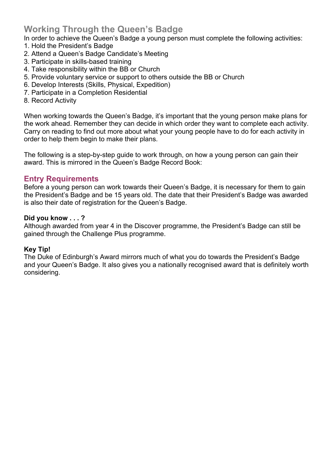## **Working Through the Queen's Badge**

- In order to achieve the Queen's Badge a young person must complete the following activities:
- 1. Hold the President's Badge
- 2. Attend a Queen's Badge Candidate's Meeting
- 3. Participate in skills-based training
- 4. Take responsibility within the BB or Church
- 5. Provide voluntary service or support to others outside the BB or Church
- 6. Develop Interests (Skills, Physical, Expedition)
- 7. Participate in a Completion Residential
- 8. Record Activity

When working towards the Queen's Badge, it's important that the young person make plans for the work ahead. Remember they can decide in which order they want to complete each activity. Carry on reading to find out more about what your young people have to do for each activity in order to help them begin to make their plans.

The following is a step-by-step guide to work through, on how a young person can gain their award. This is mirrored in the Queen's Badge Record Book:

#### **Entry Requirements**

Before a young person can work towards their Queen's Badge, it is necessary for them to gain the President's Badge and be 15 years old. The date that their President's Badge was awarded is also their date of registration for the Queen's Badge.

#### **Did you know . . . ?**

Although awarded from year 4 in the Discover programme, the President's Badge can still be gained through the Challenge Plus programme.

#### **Key Tip!**

The Duke of Edinburgh's Award mirrors much of what you do towards the President's Badge and your Queen's Badge. It also gives you a nationally recognised award that is definitely worth considering.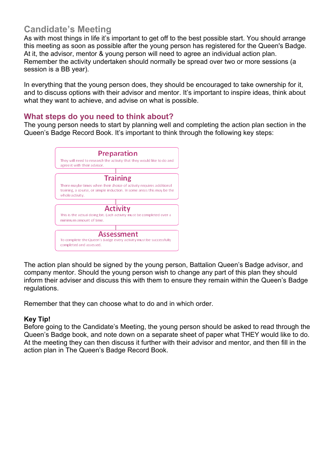## **Candidate's Meeting**

As with most things in life it's important to get off to the best possible start. You should arrange this meeting as soon as possible after the young person has registered for the Queen's Badge. At it, the advisor, mentor & young person will need to agree an individual action plan. Remember the activity undertaken should normally be spread over two or more sessions (a session is a BB year).

In everything that the young person does, they should be encouraged to take ownership for it, and to discuss options with their advisor and mentor. It's important to inspire ideas, think about what they want to achieve, and advise on what is possible.

#### **What steps do you need to think about?**

The young person needs to start by planning well and completing the action plan section in the Queen's Badge Record Book. It's important to think through the following key steps:



The action plan should be signed by the young person, Battalion Queen's Badge advisor, and company mentor. Should the young person wish to change any part of this plan they should inform their adviser and discuss this with them to ensure they remain within the Queen's Badge regulations.

Remember that they can choose what to do and in which order.

#### **Key Tip!**

Before going to the Candidate's Meeting, the young person should be asked to read through the Queen's Badge book, and note down on a separate sheet of paper what THEY would like to do. At the meeting they can then discuss it further with their advisor and mentor, and then fill in the action plan in The Queen's Badge Record Book.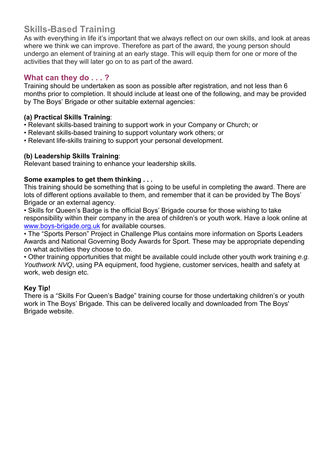## **Skills-Based Training**

As with everything in life it's important that we always reflect on our own skills, and look at areas where we think we can improve. Therefore as part of the award, the young person should undergo an element of training at an early stage. This will equip them for one or more of the activities that they will later go on to as part of the award.

## **What can they do . . . ?**

Training should be undertaken as soon as possible after registration, and not less than 6 months prior to completion. It should include at least one of the following, and may be provided by The Boys' Brigade or other suitable external agencies:

#### **(a) Practical Skills Training**:

- Relevant skills-based training to support work in your Company or Church; or
- Relevant skills-based training to support voluntary work others; or
- Relevant life-skills training to support your personal development.

#### **(b) Leadership Skills Training**:

Relevant based training to enhance your leadership skills.

#### **Some examples to get them thinking . . .**

This training should be something that is going to be useful in completing the award. There are lots of different options available to them, and remember that it can be provided by The Boys' Brigade or an external agency.

• Skills for Queen's Badge is the official Boys' Brigade course for those wishing to take responsibility within their company in the area of children's or youth work. Have a look online at www.boys-brigade.org.uk for available courses.

• The "Sports Person" Project in Challenge Plus contains more information on Sports Leaders Awards and National Governing Body Awards for Sport. These may be appropriate depending on what activities they choose to do.

• Other training opportunities that might be available could include other youth work training *e.g. Youthwork NVQ*, using PA equipment, food hygiene, customer services, health and safety at work, web design etc.

#### **Key Tip!**

There is a "Skills For Queen's Badge" training course for those undertaking children's or youth work in The Boys' Brigade. This can be delivered locally and downloaded from The Boys' Brigade website.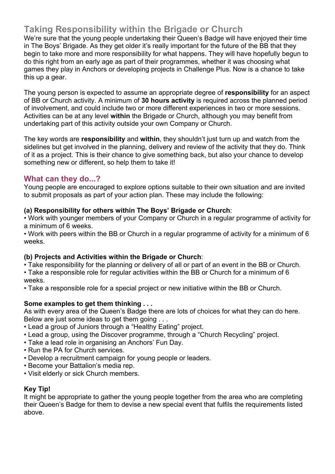## **Taking Responsibility within the Brigade or Church**

We're sure that the young people undertaking their Queen's Badge will have enjoyed their time in The Boys' Brigade. As they get older it's really important for the future of the BB that they begin to take more and more responsibility for what happens. They will have hopefully begun to do this right from an early age as part of their programmes, whether it was choosing what games they play in Anchors or developing projects in Challenge Plus. Now is a chance to take this up a gear.

The young person is expected to assume an appropriate degree of **responsibility** for an aspect of BB or Church activity. A minimum of **30 hours activity** is required across the planned period of involvement, and could include two or more different experiences in two or more sessions. Activities can be at any level **within** the Brigade or Church, although you may benefit from undertaking part of this activity outside your own Company or Church.

The key words are **responsibility** and **within**, they shouldn't just turn up and watch from the sidelines but get involved in the planning, delivery and review of the activity that they do. Think of it as a project. This is their chance to give something back, but also your chance to develop something new or different, so help them to take it!

#### **What can they do...?**

Young people are encouraged to explore options suitable to their own situation and are invited to submit proposals as part of your action plan. These may include the following:

#### **(a) Responsibility for others within The Boys' Brigade or Church**:

• Work with younger members of your Company or Church in a regular programme of activity for a minimum of 6 weeks.

• Work with peers within the BB or Church in a regular programme of activity for a minimum of 6 weeks.

#### **(b) Projects and Activities within the Brigade or Church**:

• Take responsibility for the planning or delivery of all or part of an event in the BB or Church.

• Take a responsible role for regular activities within the BB or Church for a minimum of 6 weeks.

• Take a responsible role for a special project or new initiative within the BB or Church.

#### **Some examples to get them thinking . . .**

As with every area of the Queen's Badge there are lots of choices for what they can do here. Below are just some ideas to get them going . . .

- Lead a group of Juniors through a "Healthy Eating" project.
- Lead a group, using the Discover programme, through a "Church Recycling" project.
- Take a lead role in organising an Anchors' Fun Day.
- Run the PA for Church services.
- Develop a recruitment campaign for young people or leaders.
- Become your Battalion's media rep.
- Visit elderly or sick Church members.

#### **Key Tip!**

It might be appropriate to gather the young people together from the area who are completing their Queen's Badge for them to devise a new special event that fulfils the requirements listed above.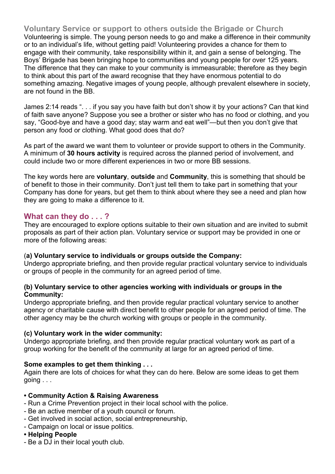**Voluntary Service or support to others outside the Brigade or Church** Volunteering is simple. The young person needs to go and make a difference in their community or to an individual's life, without getting paid! Volunteering provides a chance for them to engage with their community, take responsibility within it, and gain a sense of belonging. The Boys' Brigade has been bringing hope to communities and young people for over 125 years. The difference that they can make to your community is immeasurable; therefore as they begin to think about this part of the award recognise that they have enormous potential to do something amazing. Negative images of young people, although prevalent elsewhere in society, are not found in the BB.

James 2:14 reads ". . . if you say you have faith but don't show it by your actions? Can that kind of faith save anyone? Suppose you see a brother or sister who has no food or clothing, and you say, "Good-bye and have a good day; stay warm and eat well"—but then you don't give that person any food or clothing. What good does that do?

As part of the award we want them to volunteer or provide support to others in the Community. A minimum of **30 hours activity** is required across the planned period of involvement, and could include two or more different experiences in two or more BB sessions.

The key words here are **voluntary**, **outside** and **Community**, this is something that should be of benefit to those in their community. Don't just tell them to take part in something that your Company has done for years, but get them to think about where they see a need and plan how they are going to make a difference to it.

#### **What can they do . . . ?**

They are encouraged to explore options suitable to their own situation and are invited to submit proposals as part of their action plan. Voluntary service or support may be provided in one or more of the following areas:

#### (**a) Voluntary service to individuals or groups outside the Company:**

Undergo appropriate briefing, and then provide regular practical voluntary service to individuals or groups of people in the community for an agreed period of time.

#### **(b) Voluntary service to other agencies working with individuals or groups in the Community:**

Undergo appropriate briefing, and then provide regular practical voluntary service to another agency or charitable cause with direct benefit to other people for an agreed period of time. The other agency may be the church working with groups or people in the community.

#### **(c) Voluntary work in the wider community:**

Undergo appropriate briefing, and then provide regular practical voluntary work as part of a group working for the benefit of the community at large for an agreed period of time.

#### **Some examples to get them thinking . . .**

Again there are lots of choices for what they can do here. Below are some ideas to get them going . . .

#### **• Community Action & Raising Awareness**

- Run a Crime Prevention project in their local school with the police.
- Be an active member of a youth council or forum.
- Get involved in social action, social entrepreneurship,
- Campaign on local or issue politics.

## **• Helping People**

- Be a DJ in their local youth club.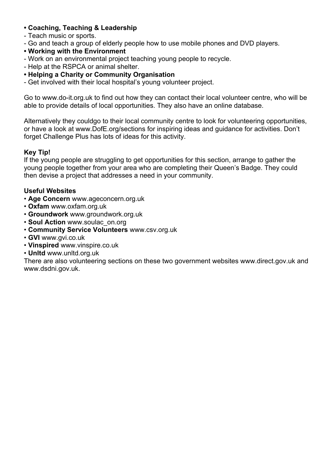#### **• Coaching, Teaching & Leadership**

- Teach music or sports.
- Go and teach a group of elderly people how to use mobile phones and DVD players.
- **Working with the Environment**
- Work on an environmental project teaching young people to recycle.
- Help at the RSPCA or animal shelter.
- **Helping a Charity or Community Organisation**
- Get involved with their local hospital's young volunteer project.

Go to www.do-it.org.uk to find out how they can contact their local volunteer centre, who will be able to provide details of local opportunities. They also have an online database.

Alternatively they couldgo to their local community centre to look for volunteering opportunities, or have a look at www.DofE.org/sections for inspiring ideas and guidance for activities. Don't forget Challenge Plus has lots of ideas for this activity.

#### **Key Tip!**

If the young people are struggling to get opportunities for this section, arrange to gather the young people together from your area who are completing their Queen's Badge. They could then devise a project that addresses a need in your community.

#### **Useful Websites**

- **Age Concern** www.ageconcern.org.uk
- **Oxfam** www.oxfam.org.uk
- **Groundwork** www.groundwork.org.uk
- **Soul Action** www.soulac\_on.org
- **Community Service Volunteers** www.csv.org.uk
- **GVI** www.gvi.co.uk
- **Vinspired** www.vinspire.co.uk
- **Unltd** www.unltd.org.uk

There are also volunteering sections on these two government websites www.direct.gov.uk and www.dsdni.gov.uk.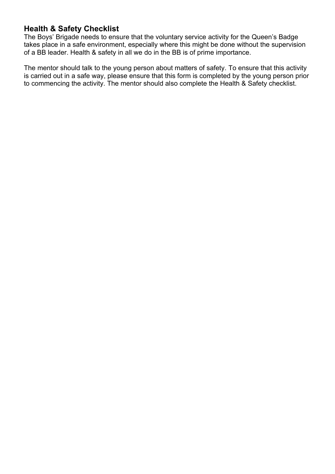## **Health & Safety Checklist**

The Boys' Brigade needs to ensure that the voluntary service activity for the Queen's Badge takes place in a safe environment, especially where this might be done without the supervision of a BB leader. Health & safety in all we do in the BB is of prime importance.

The mentor should talk to the young person about matters of safety. To ensure that this activity is carried out in a safe way, please ensure that this form is completed by the young person prior to commencing the activity. The mentor should also complete the Health & Safety checklist.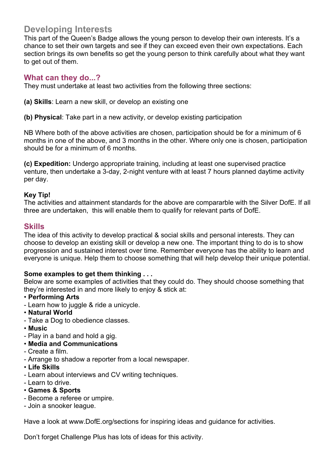## **Developing Interests**

This part of the Queen's Badge allows the young person to develop their own interests. It's a chance to set their own targets and see if they can exceed even their own expectations. Each section brings its own benefits so get the young person to think carefully about what they want to get out of them.

#### **What can they do...?**

They must undertake at least two activities from the following three sections:

**(a) Skills**: Learn a new skill, or develop an existing one

**(b) Physical**: Take part in a new activity, or develop existing participation

NB Where both of the above activities are chosen, participation should be for a minimum of 6 months in one of the above, and 3 months in the other. Where only one is chosen, participation should be for a minimum of 6 months.

**(c) Expedition:** Undergo appropriate training, including at least one supervised practice venture, then undertake a 3-day, 2-night venture with at least 7 hours planned daytime activity per day.

#### **Key Tip!**

The activities and attainment standards for the above are compararble with the Silver DofE. If all three are undertaken, this will enable them to qualify for relevant parts of DofE.

#### **Skills**

The idea of this activity to develop practical & social skills and personal interests. They can choose to develop an existing skill or develop a new one. The important thing to do is to show progression and sustained interest over time. Remember everyone has the ability to learn and everyone is unique. Help them to choose something that will help develop their unique potential.

#### **Some examples to get them thinking . . .**

Below are some examples of activities that they could do. They should choose something that they're interested in and more likely to enjoy & stick at:

#### • **Performing Arts**

- Learn how to juggle & ride a unicycle.
- **Natural World**
- Take a Dog to obedience classes.
- **Music**
- Play in a band and hold a gig.
- **Media and Communications**
- Create a film.
- Arrange to shadow a reporter from a local newspaper.
- **Life Skills**
- Learn about interviews and CV writing techniques.
- Learn to drive.
- **Games & Sports**
- Become a referee or umpire.
- Join a snooker league.

Have a look at www.DofE.org/sections for inspiring ideas and guidance for activities.

Don't forget Challenge Plus has lots of ideas for this activity.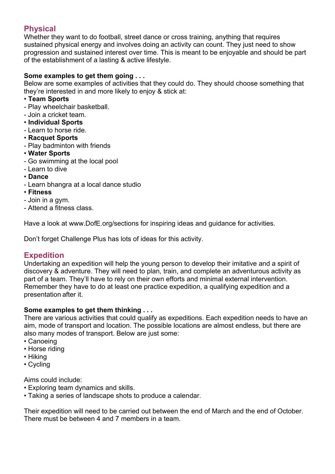## **Physical**

Whether they want to do football, street dance or cross training, anything that requires sustained physical energy and involves doing an activity can count. They just need to show progression and sustained interest over time. This is meant to be enjoyable and should be part of the establishment of a lasting & active lifestyle.

#### **Some examples to get them going . . .**

Below are some examples of activities that they could do. They should choose something that they're interested in and more likely to enjoy & stick at:

- **Team Sports**
- Play wheelchair basketball.
- Join a cricket team.
- **Individual Sports**
- Learn to horse ride.
- **Racquet Sports**
- Play badminton with friends
- **Water Sports**
- Go swimming at the local pool
- Learn to dive
- **Dance**
- Learn bhangra at a local dance studio
- **Fitness**
- Join in a gym.
- Attend a fitness class.

Have a look at www.DofE.org/sections for inspiring ideas and guidance for activities.

Don't forget Challenge Plus has lots of ideas for this activity.

## **Expedition**

Undertaking an expedition will help the young person to develop their imitative and a spirit of discovery & adventure. They will need to plan, train, and complete an adventurous activity as part of a team. They'll have to rely on their own efforts and minimal external intervention. Remember they have to do at least one practice expedition, a qualifying expedition and a presentation after it.

#### **Some examples to get them thinking . . .**

There are various activities that could qualify as expeditions. Each expedition needs to have an aim, mode of transport and location. The possible locations are almost endless, but there are also many modes of transport. Below are just some:

- Canoeing
- Horse riding
- Hiking
- Cycling

Aims could include:

- Exploring team dynamics and skills.
- Taking a series of landscape shots to produce a calendar.

Their expedition will need to be carried out between the end of March and the end of October. There must be between 4 and 7 members in a team.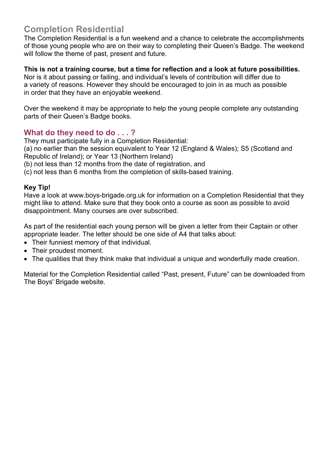## **Completion Residential**

The Completion Residential is a fun weekend and a chance to celebrate the accomplishments of those young people who are on their way to completing their Queen's Badge. The weekend will follow the theme of past, present and future.

**This is not a training course, but a time for reflection and a look at future possibilities.**  Nor is it about passing or failing, and individual's levels of contribution will differ due to a variety of reasons. However they should be encouraged to join in as much as possible in order that they have an enjoyable weekend.

Over the weekend it may be appropriate to help the young people complete any outstanding parts of their Queen's Badge books.

## **What do they need to do . . . ?**

They must participate fully in a Completion Residential:

(a) no earlier than the session equivalent to Year 12 (England & Wales); S5 (Scotland and Republic of Ireland); or Year 13 (Northern Ireland)

(b) not less than 12 months from the date of registration, and

(c) not less than 6 months from the completion of skills-based training.

#### **Key Tip!**

Have a look at www.boys-brigade.org.uk for information on a Completion Residential that they might like to attend. Make sure that they book onto a course as soon as possible to avoid disappointment. Many courses are over subscribed.

As part of the residential each young person will be given a letter from their Captain or other appropriate leader. The letter should be one side of A4 that talks about:

- Their funniest memory of that individual.
- Their proudest moment.
- The qualities that they think make that individual a unique and wonderfully made creation.

Material for the Completion Residential called "Past, present, Future" can be downloaded from The Boys' Brigade website.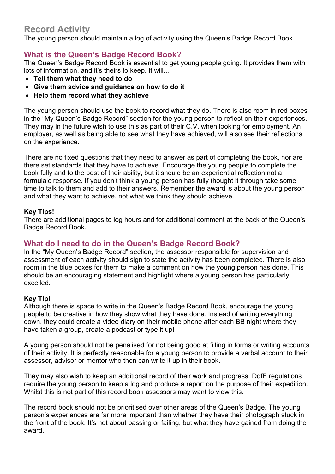## **Record Activity**

The young person should maintain a log of activity using the Queen's Badge Record Book.

## **What is the Queen's Badge Record Book?**

The Queen's Badge Record Book is essential to get young people going. It provides them with lots of information, and it's theirs to keep. It will...

- **Tell them what they need to do**
- **Give them advice and guidance on how to do it**
- **Help them record what they achieve**

The young person should use the book to record what they do. There is also room in red boxes in the "My Queen's Badge Record" section for the young person to reflect on their experiences. They may in the future wish to use this as part of their C.V. when looking for employment. An employer, as well as being able to see what they have achieved, will also see their reflections on the experience.

There are no fixed questions that they need to answer as part of completing the book, nor are there set standards that they have to achieve. Encourage the young people to complete the book fully and to the best of their ability, but it should be an experiential reflection not a formulaic response. If you don't think a young person has fully thought it through take some time to talk to them and add to their answers. Remember the award is about the young person and what they want to achieve, not what we think they should achieve.

#### **Key Tips!**

There are additional pages to log hours and for additional comment at the back of the Queen's Badge Record Book.

## **What do I need to do in the Queen's Badge Record Book?**

In the "My Queen's Badge Record" section, the assessor responsible for supervision and assessment of each activity should sign to state the activity has been completed. There is also room in the blue boxes for them to make a comment on how the young person has done. This should be an encouraging statement and highlight where a young person has particularly excelled.

#### **Key Tip!**

Although there is space to write in the Queen's Badge Record Book, encourage the young people to be creative in how they show what they have done. Instead of writing everything down, they could create a video diary on their mobile phone after each BB night where they have taken a group, create a podcast or type it up!

A young person should not be penalised for not being good at filling in forms or writing accounts of their activity. It is perfectly reasonable for a young person to provide a verbal account to their assessor, advisor or mentor who then can write it up in their book.

They may also wish to keep an additional record of their work and progress. DofE regulations require the young person to keep a log and produce a report on the purpose of their expedition. Whilst this is not part of this record book assessors may want to view this.

The record book should not be prioritised over other areas of the Queen's Badge. The young person's experiences are far more important than whether they have their photograph stuck in the front of the book. It's not about passing or failing, but what they have gained from doing the award.